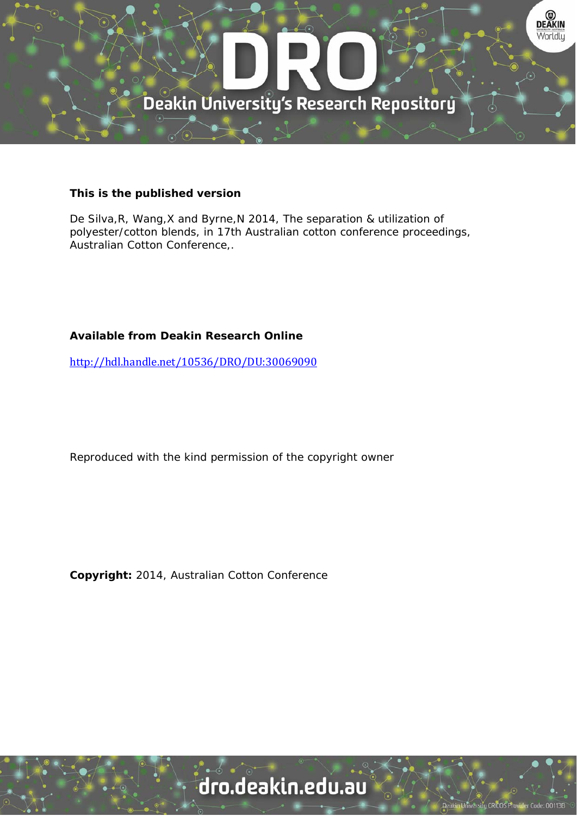

#### **This is the published version**

De Silva,R, Wang,X and Byrne,N 2014, The separation & utilization of polyester/cotton blends, in 17th Australian cotton conference proceedings, Australian Cotton Conference,.

### **Available from Deakin Research Online**

http://hdl.handle.net/10536/DRO/DU:30069090

Reproduced with the kind permission of the copyright owner

**Copyright:** 2014, Australian Cotton Conference

# dro.deakin.edu.au

sity CRITOS Pro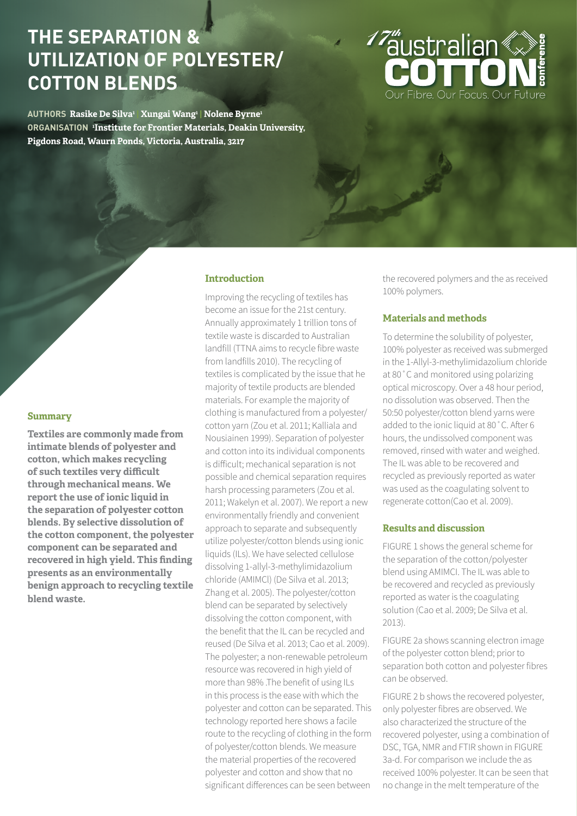## **THE SEPARATION & UTILIZATION OF POLYESTER/ COTTON BLENDS**

**AUTHORS Rasike De Silva1 | Xungai Wang1 | Nolene Byrne1 ORGANISATION <sup>1</sup> Institute for Frontier Materials, Deakin University, Pigdons Road, Waurn Ponds, Victoria, Australia, 3217**

**Introduction**

Improving the recycling of textiles has

become an issue for the 21st century. Annually approximately 1 trillion tons of textile waste is discarded to Australian landfill (TTNA aims to recycle fibre waste from landfills 2010). The recycling of textiles is complicated by the issue that he majority of textile products are blended materials. For example the majority of clothing is manufactured from a polyester/ cotton yarn (Zou et al. 2011; Kalliala and Nousiainen 1999). Separation of polyester and cotton into its individual components is difficult; mechanical separation is not possible and chemical separation requires harsh processing parameters (Zou et al. 2011; Wakelyn et al. 2007). We report a new environmentally friendly and convenient approach to separate and subsequently utilize polyester/cotton blends using ionic liquids (ILs). We have selected cellulose dissolving 1-allyl-3-methylimidazolium chloride (AMIMCl) (De Silva et al. 2013; Zhang et al. 2005). The polyester/cotton blend can be separated by selectively dissolving the cotton component, with the benefit that the IL can be recycled and reused (De Silva et al. 2013; Cao et al. 2009). The polyester; a non-renewable petroleum resource was recovered in high yield of more than 98% .The benefit of using ILs in this process is the ease with which the polyester and cotton can be separated. This technology reported here shows a facile route to the recycling of clothing in the form of polyester/cotton blends. We measure the material properties of the recovered polyester and cotton and show that no significant differences can be seen between

the recovered polymers and the as received 100% polymers.

#### **Materials and methods**

To determine the solubility of polyester, 100% polyester as received was submerged in the 1-Allyl-3-methylimidazolium chloride at 80˚C and monitored using polarizing optical microscopy. Over a 48 hour period, no dissolution was observed. Then the 50:50 polyester/cotton blend yarns were added to the ionic liquid at 80˚C. After 6 hours, the undissolved component was removed, rinsed with water and weighed. The IL was able to be recovered and recycled as previously reported as water was used as the coagulating solvent to regenerate cotton(Cao et al. 2009).

#### **Results and discussion**

FIGURE 1 shows the general scheme for the separation of the cotton/polyester blend using AMIMCI. The IL was able to be recovered and recycled as previously reported as water is the coagulating solution (Cao et al. 2009; De Silva et al. 2013).

FIGURE 2a shows scanning electron image of the polyester cotton blend; prior to separation both cotton and polyester fibres can be observed.

FIGURE 2 b shows the recovered polyester, only polyester fibres are observed. We also characterized the structure of the recovered polyester, using a combination of DSC, TGA, NMR and FTIR shown in FIGURE 3a-d. For comparison we include the as received 100% polyester. It can be seen that no change in the melt temperature of the

#### **Summary**

**Textiles are commonly made from intimate blends of polyester and cotton, which makes recycling of such textiles very difficult through mechanical means. We report the use of ionic liquid in the separation of polyester cotton blends. By selective dissolution of the cotton component, the polyester component can be separated and recovered in high yield. This finding presents as an environmentally benign approach to recycling textile blend waste.**

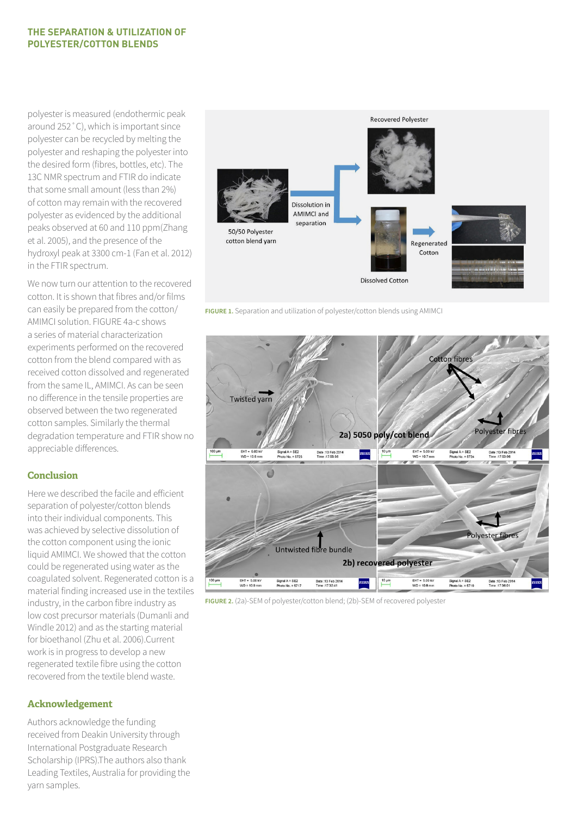#### **THE SEPARATION & UTILIZATION OF POLYESTER/COTTON BLENDS**

polyester is measured (endothermic peak around 252˚C), which is important since polyester can be recycled by melting the polyester and reshaping the polyester into the desired form (fibres, bottles, etc). The 13C NMR spectrum and FTIR do indicate that some small amount (less than 2%) of cotton may remain with the recovered polyester as evidenced by the additional peaks observed at 60 and 110 ppm(Zhang et al. 2005), and the presence of the hydroxyl peak at 3300 cm-1 (Fan et al. 2012) in the FTIR spectrum.

We now turn our attention to the recovered cotton. It is shown that fibres and/or films can easily be prepared from the cotton/ AMIMCI solution. FIGURE 4a-c shows a series of material characterization experiments performed on the recovered cotton from the blend compared with as received cotton dissolved and regenerated from the same IL, AMIMCI. As can be seen no difference in the tensile properties are observed between the two regenerated cotton samples. Similarly the thermal degradation temperature and FTIR show no appreciable differences.

#### **Conclusion**

Here we described the facile and efficient separation of polyester/cotton blends into their individual components. This was achieved by selective dissolution of the cotton component using the ionic liquid AMIMCI. We showed that the cotton could be regenerated using water as the coagulated solvent. Regenerated cotton is a material finding increased use in the textiles industry, in the carbon fibre industry as low cost precursor materials (Dumanli and Windle 2012) and as the starting material for bioethanol (Zhu et al. 2006).Current work is in progress to develop a new regenerated textile fibre using the cotton recovered from the textile blend waste.

#### **Acknowledgement**

Authors acknowledge the funding received from Deakin University through International Postgraduate Research Scholarship (IPRS).The authors also thank Leading Textiles, Australia for providing the yarn samples.



**FIGURE 1.** Separation and utilization of polyester/cotton blends using AMIMCI



**FIGURE 2.** (2a)-SEM of polyester/cotton blend; (2b)-SEM of recovered polyester